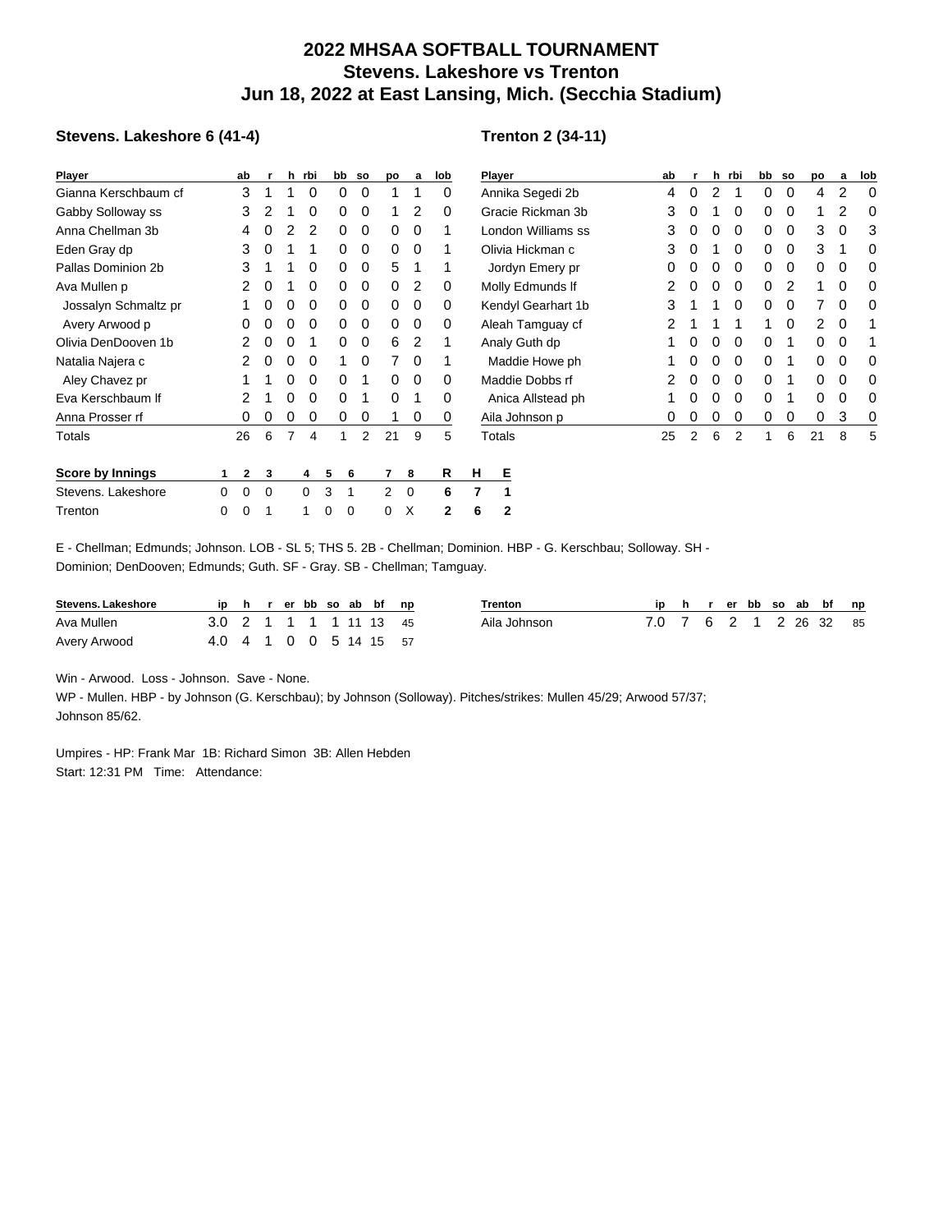## **2022 MHSAA SOFTBALL TOURNAMENT Stevens. Lakeshore vs Trenton Jun 18, 2022 at East Lansing, Mich. (Secchia Stadium)**

## **Stevens. Lakeshore 6 (41-4)**

## **Trenton 2 (34-11)**

| Player               |   | ab           |   |          | h rbi    | bb | so | po             | a              | lob |                | Player             |    |   | h | rbi      | bb | <b>SO</b> | po       | а           | lob |
|----------------------|---|--------------|---|----------|----------|----|----|----------------|----------------|-----|----------------|--------------------|----|---|---|----------|----|-----------|----------|-------------|-----|
| Gianna Kerschbaum cf |   | 3            |   |          | $\Omega$ | 0  | 0  |                |                | 0   |                | Annika Segedi 2b   |    | 0 | 2 |          | 0  | 0         | 4        | 2           |     |
| Gabby Solloway ss    |   | 3            |   |          | 0        | 0  | 0  |                | 2              | 0   |                | Gracie Rickman 3b  |    |   |   | 0        | 0  | 0         |          | 2           | 0   |
| Anna Chellman 3b     |   | 4            |   |          | 2        | 0  | 0  | 0              | $\Omega$       |     |                | London Williams ss | 3  |   |   | 0        | 0  | 0         | 3        | $\Omega$    | 3   |
| Eden Gray dp         |   | 3            | 0 |          |          | 0  | 0  | 0              | $\Omega$       |     |                | Olivia Hickman c   |    |   |   | 0        | 0  | 0         | 3        |             |     |
| Pallas Dominion 2b   |   | 3            |   |          | $\Omega$ | 0  | 0  | 5              |                |     |                | Jordyn Emery pr    |    |   |   | 0        | 0  | 0         | 0        | 0           |     |
| Ava Mullen p         |   | 2            | 0 |          | 0        | 0  | 0  | 0              | 2              | 0   |                | Molly Edmunds If   | 2  |   | 0 | 0        | 0  | 2         |          | 0           |     |
| Jossalyn Schmaltz pr |   |              | 0 | 0        | 0        | 0  | 0  | 0              | 0              | 0   |                | Kendyl Gearhart 1b | 3  |   |   | 0        | 0  | 0         |          | 0           |     |
| Avery Arwood p       |   | 0            | 0 | 0        | 0        | 0  | 0  | 0              | 0              | 0   |                | Aleah Tamguay cf   |    |   |   |          | 1  | 0         | 2        | $\mathbf 0$ |     |
| Olivia DenDooven 1b  |   | 2            | 0 | 0        | 1        | 0  | 0  | 6              | $\overline{2}$ |     |                | Analy Guth dp      |    | 0 | 0 | 0        | 0  | 1         | 0        | 0           |     |
| Natalia Najera c     |   | 2            | 0 | 0        | $\Omega$ | 1  | 0  | 7              | 0              |     |                | Maddie Howe ph     |    | 0 | 0 | 0        | 0  | 1         | 0        | 0           | 0   |
| Aley Chavez pr       |   |              |   | $\Omega$ | 0        | 0  | 1  | 0              | 0              | 0   |                | Maddie Dobbs rf    |    | 0 | 0 | $\Omega$ | 0  |           | 0        | 0           | 0   |
| Eva Kerschbaum If    |   | 2            |   | 0        | $\Omega$ | 0  | 1  | 0              |                | 0   |                | Anica Allstead ph  |    | 0 | 0 | 0        | 0  |           | $\Omega$ | 0           |     |
| Anna Prosser rf      |   | 0            | 0 | 0        | 0        | 0  | 0  |                | 0              | 0   |                | Aila Johnson p     | 0  | 0 | 0 | 0        | 0  | 0         | 0        | 3           |     |
| Totals               |   | 26           | 6 |          | 4        |    | 2  | 21             | 9              | 5   |                | Totals             | 25 | 2 | 6 | 2        | 1  | 6         | 21       | 8           | 5   |
| Score by Innings     |   | $\mathbf{2}$ | 3 |          | 4        | 5  | 6  | 7              | 8              | R   | н              | Е                  |    |   |   |          |    |           |          |             |     |
| Stevens. Lakeshore   | 0 | 0            | 0 |          | $\Omega$ | 3  | 1  | $\overline{2}$ | $\mathbf 0$    | 6   | $\overline{7}$ |                    |    |   |   |          |    |           |          |             |     |
| Trenton              | 0 | 0            |   |          |          | 0  | 0  | 0              | X              | 2   | 6              | $\mathbf{2}$       |    |   |   |          |    |           |          |             |     |

E - Chellman; Edmunds; Johnson. LOB - SL 5; THS 5. 2B - Chellman; Dominion. HBP - G. Kerschbau; Solloway. SH - Dominion; DenDooven; Edmunds; Guth. SF - Gray. SB - Chellman; Tamguay.

| <b>Stevens, Lakeshore</b> |                               |  |  |  | ip h r er bb so ab bf np | <b>Frenton</b> |                        |  |  |  | ip h r er bb so ab bf np |  |
|---------------------------|-------------------------------|--|--|--|--------------------------|----------------|------------------------|--|--|--|--------------------------|--|
| Ava Mullen                | 3.0 2 1 1 1 1 1 1 1 1 1 1 4 5 |  |  |  |                          | Aila Johnson   | 7.0 7 6 2 1 2 26 32 85 |  |  |  |                          |  |
| Avery Arwood              | 4.0 4 1 0 0 5 14 15 57        |  |  |  |                          |                |                        |  |  |  |                          |  |

Win - Arwood. Loss - Johnson. Save - None.

WP - Mullen. HBP - by Johnson (G. Kerschbau); by Johnson (Solloway). Pitches/strikes: Mullen 45/29; Arwood 57/37; Johnson 85/62.

Umpires - HP: Frank Mar 1B: Richard Simon 3B: Allen Hebden Start: 12:31 PM Time: Attendance: